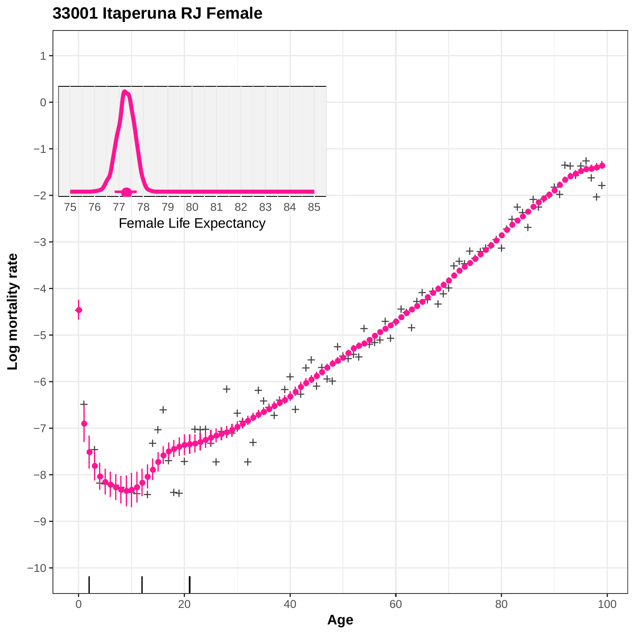**33001 Itaperuna RJ Female**

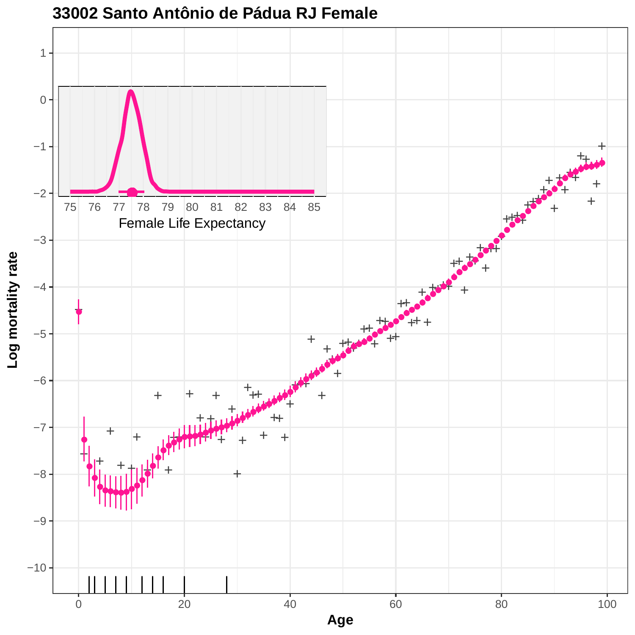

### **33002 Santo Antônio de Pádua RJ Female**

**Age**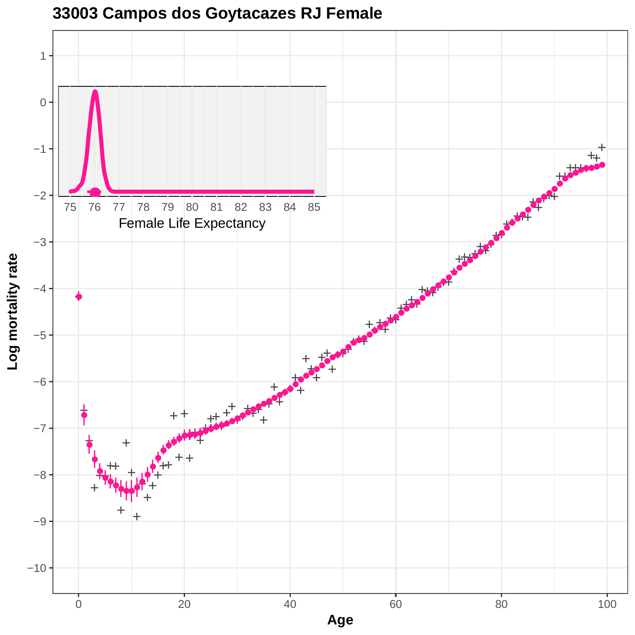

## **33003 Campos dos Goytacazes RJ Female**

**Age**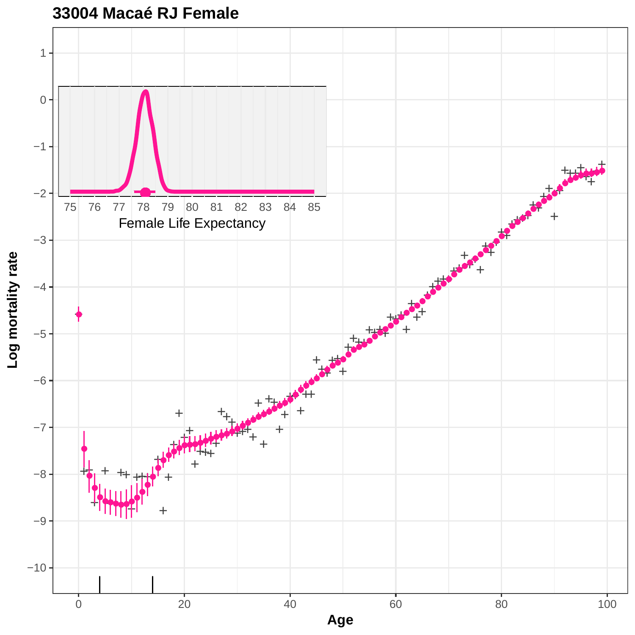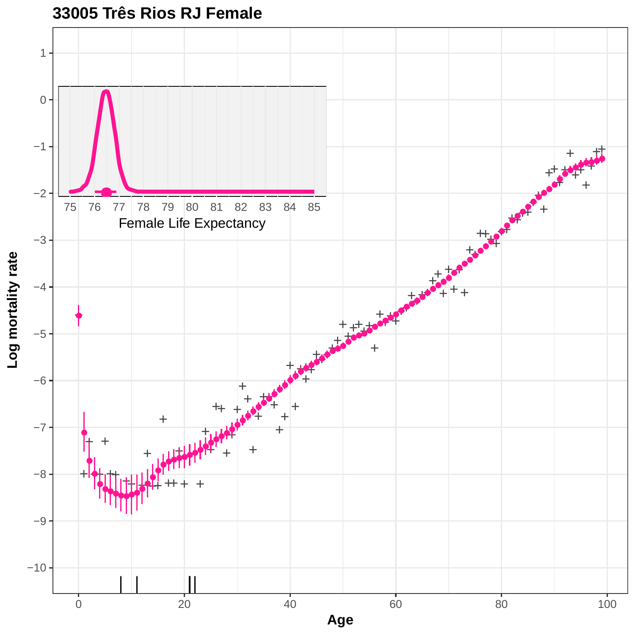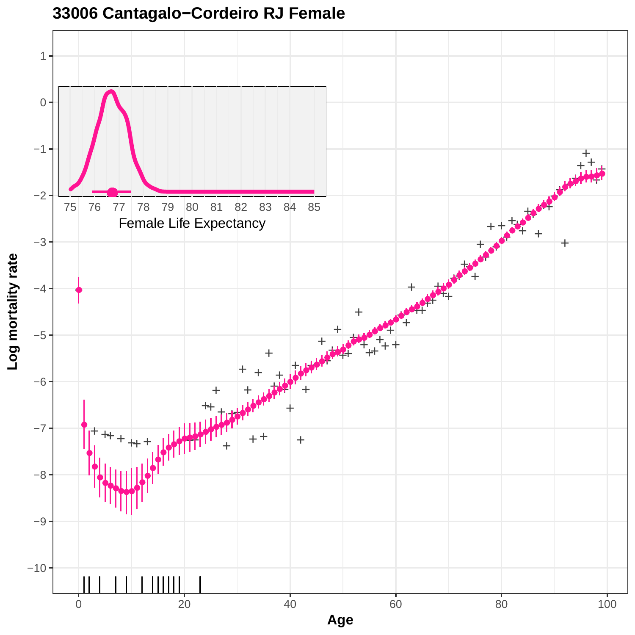

### **33006 Cantagalo−Cordeiro RJ Female**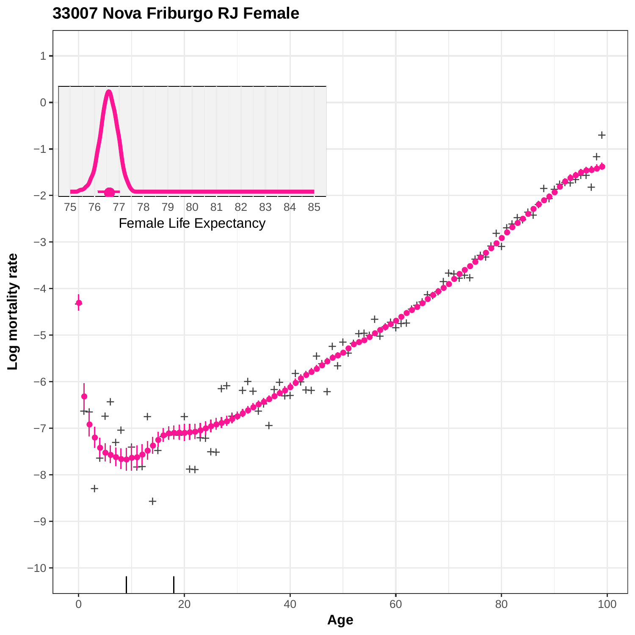

### **33007 Nova Friburgo RJ Female**

**Age**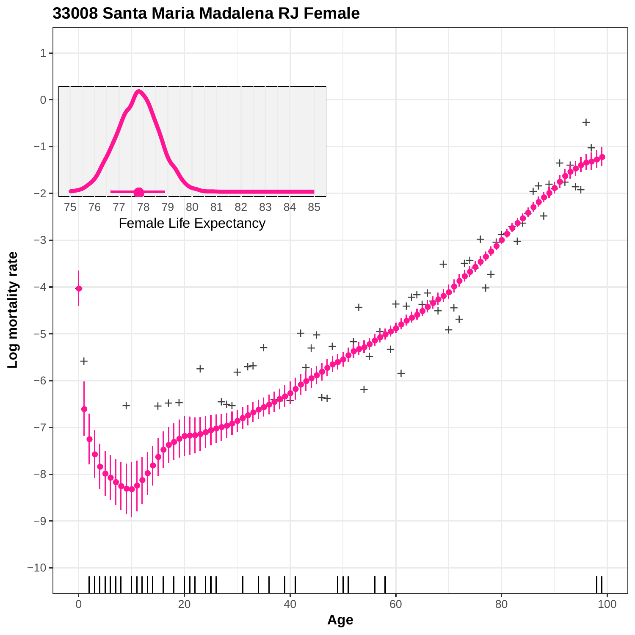

**33008 Santa Maria Madalena RJ Female**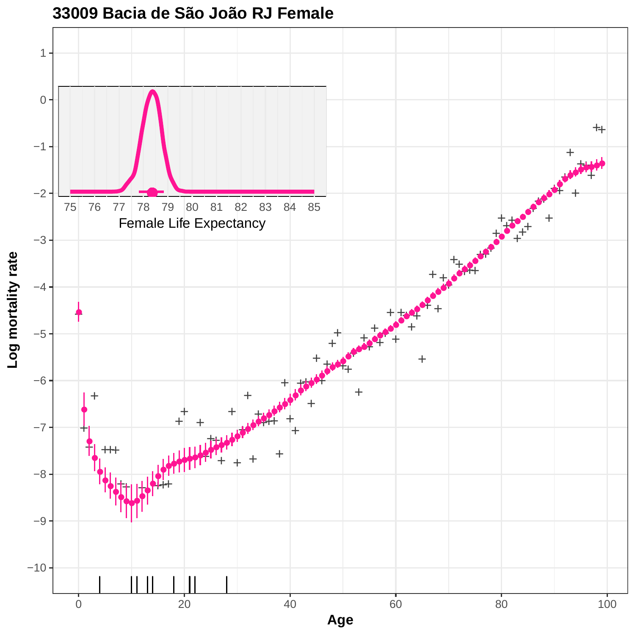

**33009 Bacia de São João RJ Female**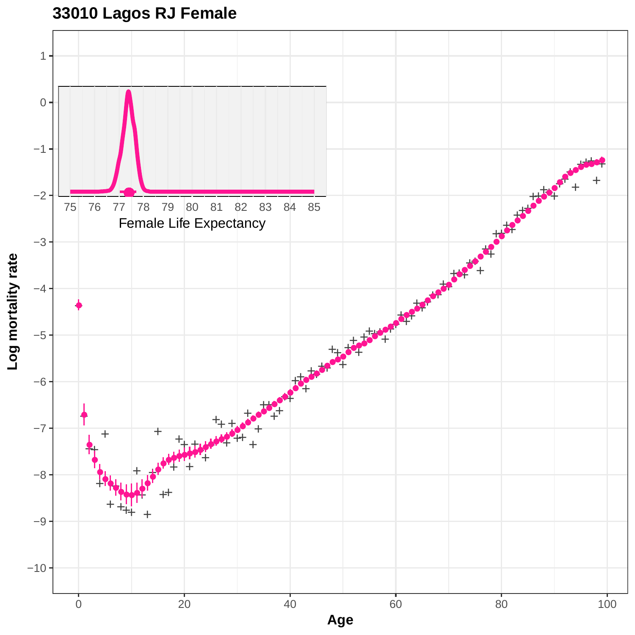# **33010 Lagos RJ Female**

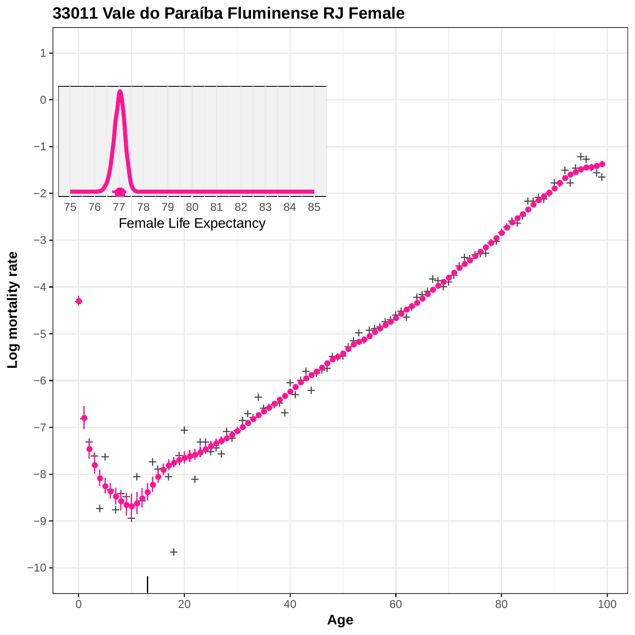

**33011 Vale do Paraíba Fluminense RJ Female**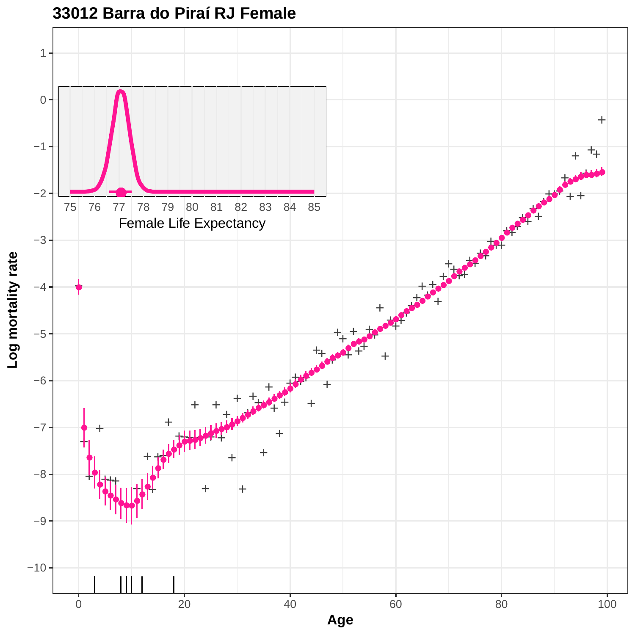

### **33012 Barra do Piraí RJ Female**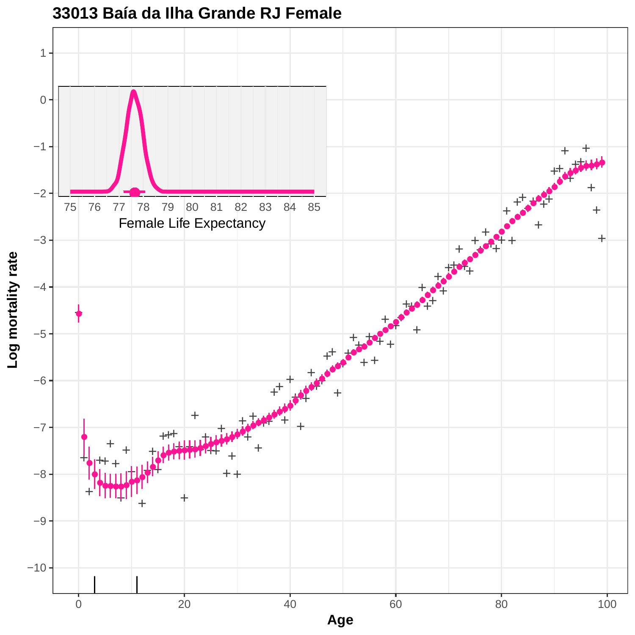

#### **33013 Baía da Ilha Grande RJ Female**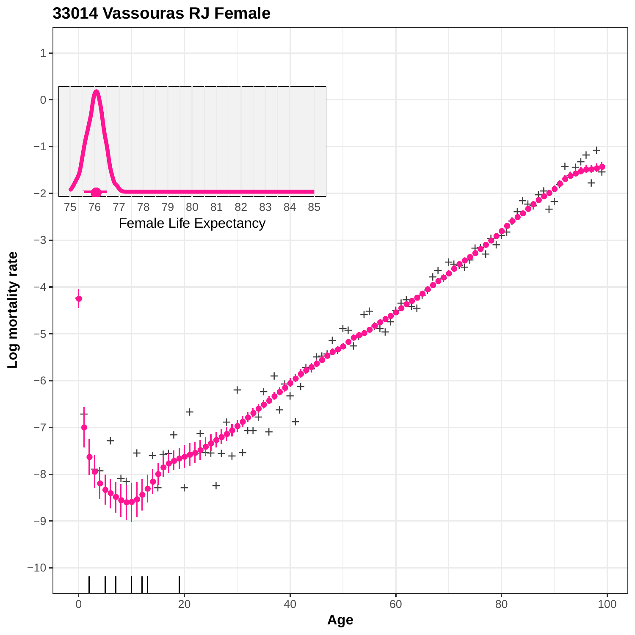

**33014 Vassouras RJ Female**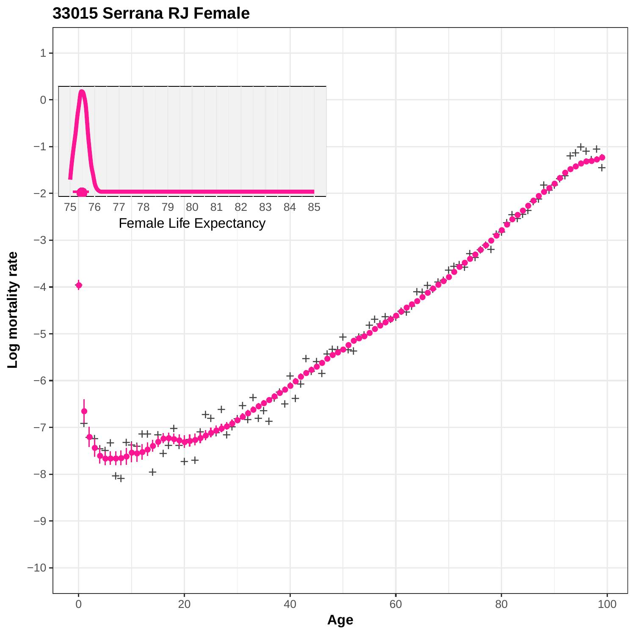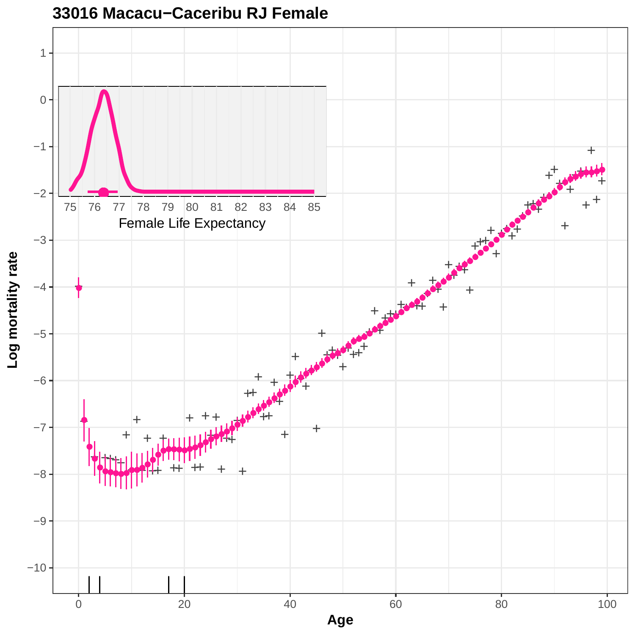

#### **33016 Macacu−Caceribu RJ Female**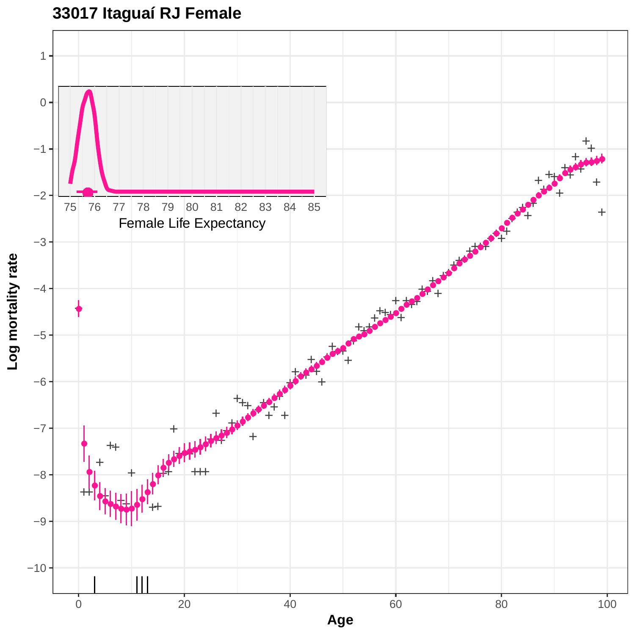# **33017 Itaguaí RJ Female**